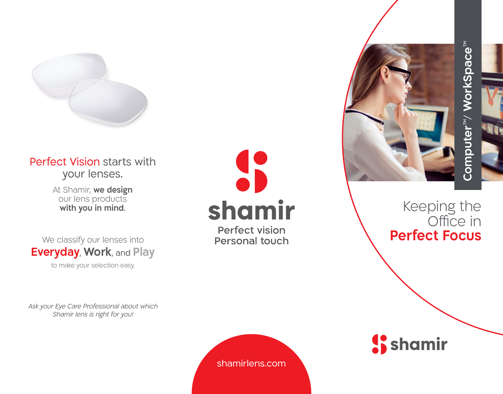

## Perfect Vision starts with your lenses.

At Shamir, **we design** our lens products **with you in mind** .

We classify our lenses into **Everyday**, **Work**, and **Play**

to make your selection easy.

Ask your Eye Care Professional about which Shamir lens is right for you!



**Perfect vision Personal touch** 



Keeping the Office in **Perfect Focus** 

**S** shamir

shamirlens.com